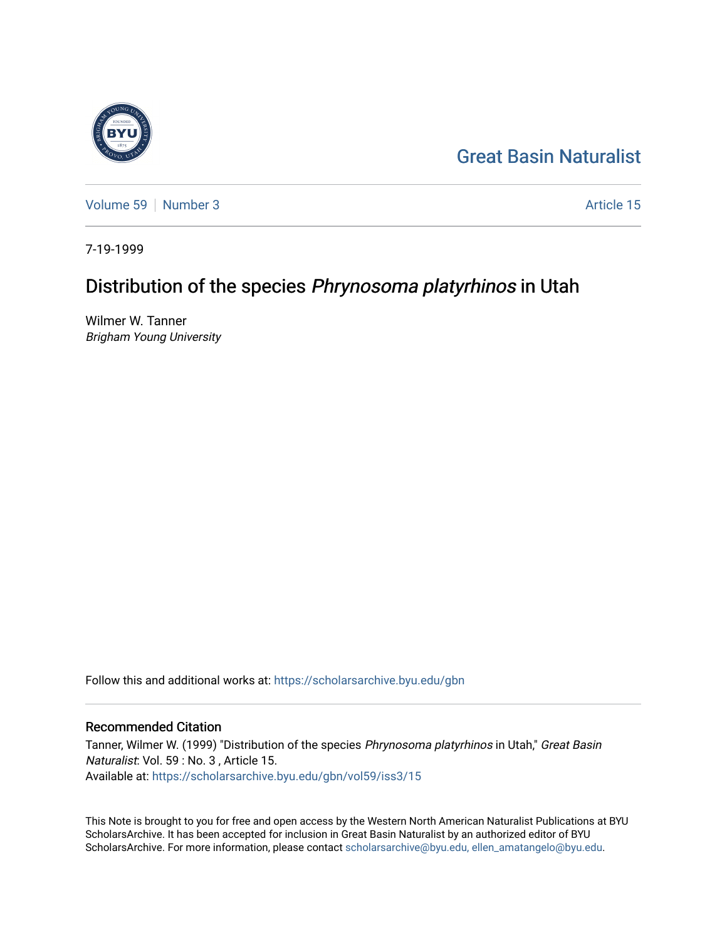

[Volume 59](https://scholarsarchive.byu.edu/gbn/vol59) [Number 3](https://scholarsarchive.byu.edu/gbn/vol59/iss3) Article 15

7-19-1999

## Distribution of the species Phrynosoma platyrhinos in Utah

Wilmer W. Tanner Brigham Young University

Follow this and additional works at: [https://scholarsarchive.byu.edu/gbn](https://scholarsarchive.byu.edu/gbn?utm_source=scholarsarchive.byu.edu%2Fgbn%2Fvol59%2Fiss3%2F15&utm_medium=PDF&utm_campaign=PDFCoverPages) 

## Recommended Citation

Tanner, Wilmer W. (1999) "Distribution of the species Phrynosoma platyrhinos in Utah," Great Basin Naturalist: Vol. 59 : No. 3 , Article 15. Available at: [https://scholarsarchive.byu.edu/gbn/vol59/iss3/15](https://scholarsarchive.byu.edu/gbn/vol59/iss3/15?utm_source=scholarsarchive.byu.edu%2Fgbn%2Fvol59%2Fiss3%2F15&utm_medium=PDF&utm_campaign=PDFCoverPages) 

This Note is brought to you for free and open access by the Western North American Naturalist Publications at BYU ScholarsArchive. It has been accepted for inclusion in Great Basin Naturalist by an authorized editor of BYU ScholarsArchive. For more information, please contact [scholarsarchive@byu.edu, ellen\\_amatangelo@byu.edu.](mailto:scholarsarchive@byu.edu,%20ellen_amatangelo@byu.edu)

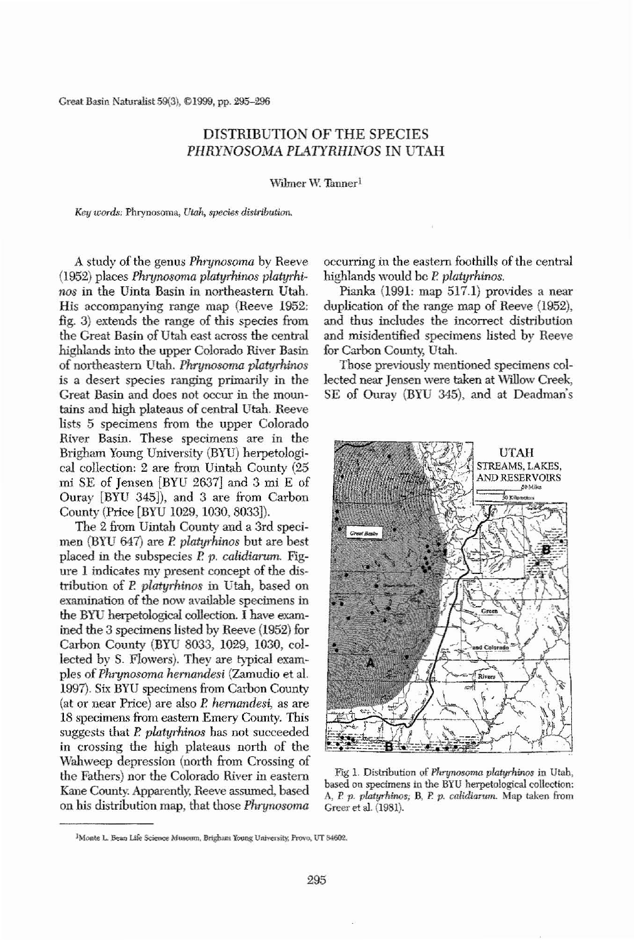**Creat Basin Natur-ilist 59(3), el999, pp. 295-296**

## DISTRIBUTION OF THE SPECIES *PHRYNOSOMA PLATYRHINOS* IN UTAH

**Wilmer** W. Tanner<sup>1</sup>

*Key words:* **Phrynosoma**, *Utah*, *species distribution.* 

A study of the genus *Phrynosoma* by Reeve (1952) places *PhT1Jnosoma platyrhinos platyrhinos* in the Uinta Basin in northeastern Utah. His accompanying range map (Reeve 1952: fig. 3) extends the range of this species from the Great Basin of Utah east across the central highlands into the upper Colorado River Basin of nOltheastem Utah. *Phrynosoma platyminos* **is a desert species ranging primarily in the** Great Basin and does not occur in the mountains and high plateaus of central Utah. Reeve lists 5 specimens from tbe upper Colorado **River Basin. These specimens are in the** Brigham Young University (BYU) herpetological collection: 2 are from Uintah County (25 mi SE of Jensen [BYU 2637J and 3 mi E of Ouray [BYU 345]), and 3 are from Carbon County (Price [BYU 1029, 1030, 8033]). The 2 from Uintah County and a 3rd specimen (BYU 647) are P. *platyrhinos* but are best placed in the subspecies P. p. *calidiarum*. Figure 1 indicates my present concept of the distribution of P. *platyrhinos* in Utah, based on examination of the now available specimens in the BYU herpetological collection. I have examined the 3 specimens listed by Reeve (1952) for Carbon County (BYU 8033, 1029, 1030, collected by S. Flowers). They are typical examples of *Phrynosoma hernandesi* (Zamudio et al. 1997). Six BYU specimens from Carbon County (at or near Price) are also *P. hernandesi*, as are 18 specimens from eastern Emery County. This suggests that P. *platyrhinos* bas not succeeded in crossing the high plateaus north of the Wahweep depression (north from Crossing of the Fathers) nor the Colorado River in eastem Kane County. Apparently, Reeve assumed, based on his distribution map, that those *Phrynosoma* 

occurring in the eastern foothills of the central highlands would bc P. *platyrhinos.*

Pianka (1991: map 517.1) provides a near duplication of the range map of Reeve (1952), and thus includes the incorrect distribution and misidentified specimens listed by Reeve for Carbon County, Utah.

Those previously mentioned specimens collected near Jensen were taken at Willow Creek, SE of Ouray (BYU 345), and at Deadman's



**Fig** 1. Distribution of *Phrynosoma platyrhinos* in Utah,  $b$ ased on specimens in the BYU herpetological collection: **A, P** *p. platyrhinos;* **B, P.** *p. calidiarum.* **Map taken from** Greer et al. (1981).

295

<sup>&</sup>lt;sup>1</sup>Monte L. Bean Life Science Museum, Brigham Young University, Provo, UT 84602.